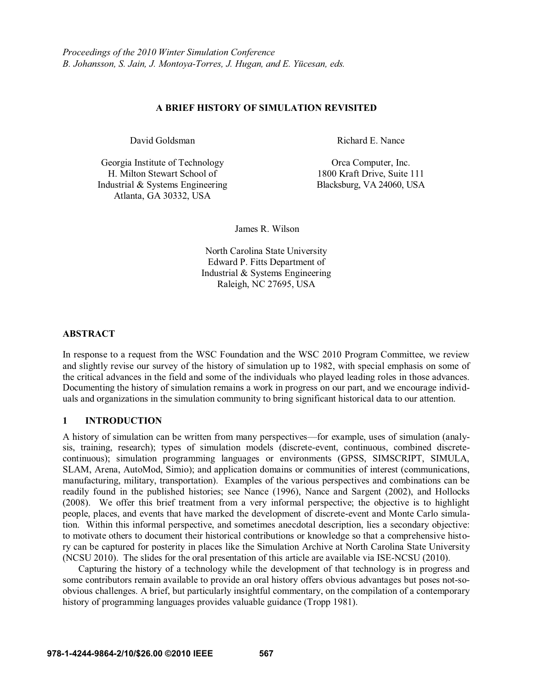### **A BRIEF HISTORY OF SIMULATION REVISITED**

Georgia Institute of Technology H. Milton Stewart School of Industrial & Systems Engineering Blacksburg, VA 24060, USA Atlanta, GA 30332, USA

David Goldsman Richard E. Nance

Orca Computer, Inc. 1800 Kraft Drive, Suite 111

James R. Wilson

North Carolina State University Edward P. Fitts Department of Industrial & Systems Engineering Raleigh, NC 27695, USA

## **ABSTRACT**

In response to a request from the WSC Foundation and the WSC 2010 Program Committee, we review and slightly revise our survey of the history of simulation up to 1982, with special emphasis on some of the critical advances in the field and some of the individuals who played leading roles in those advances. Documenting the history of simulation remains a work in progress on our part, and we encourage individuals and organizations in the simulation community to bring significant historical data to our attention.

## **1 INTRODUCTION**

A history of simulation can be written from many perspectives—for example, uses of simulation (analysis, training, research); types of simulation models (discrete-event, continuous, combined discretecontinuous); simulation programming languages or environments (GPSS, SIMSCRIPT, SIMULA, SLAM, Arena, AutoMod, Simio); and application domains or communities of interest (communications, manufacturing, military, transportation). Examples of the various perspectives and combinations can be readily found in the published histories; see Nance (1996), Nance and Sargent (2002), and Hollocks (2008). We offer this brief treatment from a very informal perspective; the objective is to highlight people, places, and events that have marked the development of discrete-event and Monte Carlo simulation. Within this informal perspective, and sometimes anecdotal description, lies a secondary objective: to motivate others to document their historical contributions or knowledge so that a comprehensive history can be captured for posterity in places like the Simulation Archive at North Carolina State University (NCSU 2010). The slides for the oral presentation of this article are available via ISE-NCSU (2010).

Capturing the history of a technology while the development of that technology is in progress and some contributors remain available to provide an oral history offers obvious advantages but poses not-soobvious challenges. A brief, but particularly insightful commentary, on the compilation of a contemporary history of programming languages provides valuable guidance (Tropp 1981).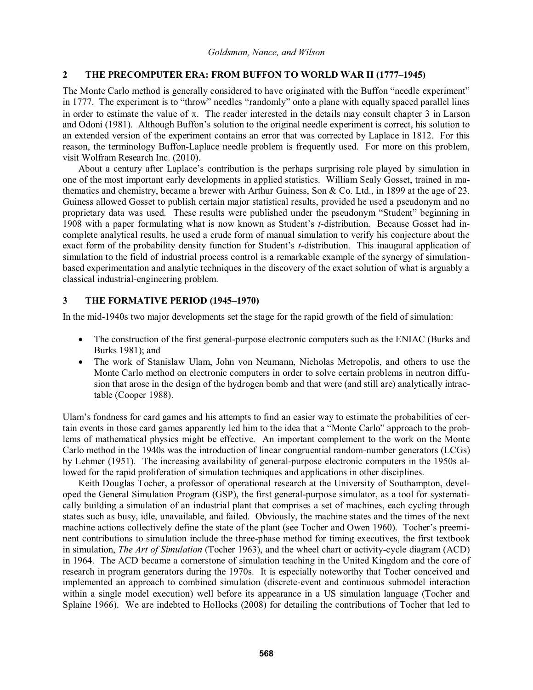# **2 THE PRECOMPUTER ERA: FROM BUFFON TO WORLD WAR II (1777-1945)**

The Monte Carlo method is generally considered to have originated with the Buffon "needle experiment" in 1777. The experiment is to "throw" needles "randomly" onto a plane with equally spaced parallel lines in order to estimate the value of  $\pi$ . The reader interested in the details may consult chapter 3 in Larson and Odoni (1981). Although Buffon's solution to the original needle experiment is correct, his solution to an extended version of the experiment contains an error that was corrected by Laplace in 1812. For this reason, the terminology Buffon-Laplace needle problem is frequently used. For more on this problem, visit Wolfram Research Inc. (2010).

About a century after Laplace's contribution is the perhaps surprising role played by simulation in one of the most important early developments in applied statistics. William Sealy Gosset, trained in mathematics and chemistry, became a brewer with Arthur Guiness, Son & Co. Ltd., in 1899 at the age of 23. Guiness allowed Gosset to publish certain major statistical results, provided he used a pseudonym and no proprietary data was used. These results were published under the pseudonym "Student" beginning in 1908 with a paper formulating what is now known as Student's *t*-distribution. Because Gosset had incomplete analytical results, he used a crude form of manual simulation to verify his conjecture about the exact form of the probability density function for Student's *t*-distribution. This inaugural application of simulation to the field of industrial process control is a remarkable example of the synergy of simulationbased experimentation and analytic techniques in the discovery of the exact solution of what is arguably a classical industrial-engineering problem.

# **3 THE FORMATIVE PERIOD (1945-1970)**

In the mid-1940s two major developments set the stage for the rapid growth of the field of simulation:

- The construction of the first general-purpose electronic computers such as the ENIAC (Burks and Burks 1981); and
- The work of Stanislaw Ulam, John von Neumann, Nicholas Metropolis, and others to use the Monte Carlo method on electronic computers in order to solve certain problems in neutron diffusion that arose in the design of the hydrogen bomb and that were (and still are) analytically intractable (Cooper 1988).

Ulam's fondness for card games and his attempts to find an easier way to estimate the probabilities of certain events in those card games apparently led him to the idea that a "Monte Carlo" approach to the problems of mathematical physics might be effective. An important complement to the work on the Monte Carlo method in the 1940s was the introduction of linear congruential random-number generators (LCGs) by Lehmer (1951). The increasing availability of general-purpose electronic computers in the 1950s allowed for the rapid proliferation of simulation techniques and applications in other disciplines.

Keith Douglas Tocher, a professor of operational research at the University of Southampton, developed the General Simulation Program (GSP), the first general-purpose simulator, as a tool for systematically building a simulation of an industrial plant that comprises a set of machines, each cycling through states such as busy, idle, unavailable, and failed. Obviously, the machine states and the times of the next machine actions collectively define the state of the plant (see Tocher and Owen 1960). Tocher's preeminent contributions to simulation include the three-phase method for timing executives, the first textbook in simulation, *The Art of Simulation* (Tocher 1963), and the wheel chart or activity-cycle diagram (ACD) in 1964. The ACD became a cornerstone of simulation teaching in the United Kingdom and the core of research in program generators during the 1970s. It is especially noteworthy that Tocher conceived and implemented an approach to combined simulation (discrete-event and continuous submodel interaction within a single model execution) well before its appearance in a US simulation language (Tocher and Splaine 1966). We are indebted to Hollocks (2008) for detailing the contributions of Tocher that led to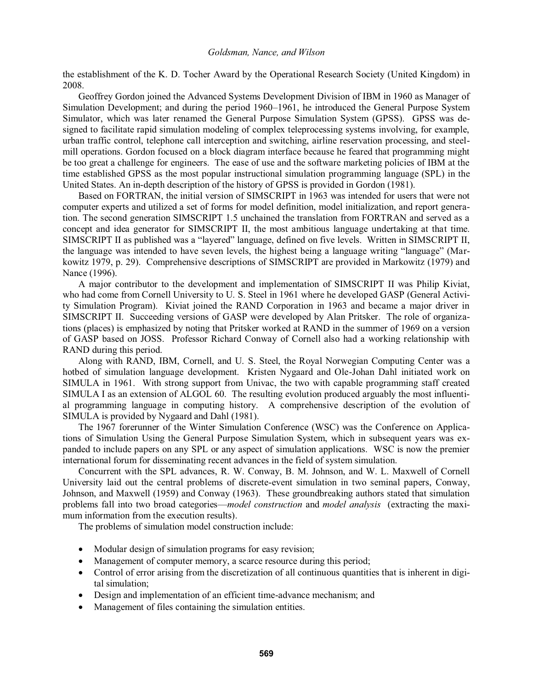the establishment of the K. D. Tocher Award by the Operational Research Society (United Kingdom) in 2008.

Geoffrey Gordon joined the Advanced Systems Development Division of IBM in 1960 as Manager of Simulation Development; and during the period 1960–1961, he introduced the General Purpose System Simulator, which was later renamed the General Purpose Simulation System (GPSS). GPSS was designed to facilitate rapid simulation modeling of complex teleprocessing systems involving, for example, urban traffic control, telephone call interception and switching, airline reservation processing, and steelmill operations. Gordon focused on a block diagram interface because he feared that programming might be too great a challenge for engineers. The ease of use and the software marketing policies of IBM at the time established GPSS as the most popular instructional simulation programming language (SPL) in the United States. An in-depth description of the history of GPSS is provided in Gordon (1981).

Based on FORTRAN, the initial version of SIMSCRIPT in 1963 was intended for users that were not computer experts and utilized a set of forms for model definition, model initialization, and report generation. The second generation SIMSCRIPT 1.5 unchained the translation from FORTRAN and served as a concept and idea generator for SIMSCRIPT II, the most ambitious language undertaking at that time. SIMSCRIPT II as published was a "layered" language, defined on five levels. Written in SIMSCRIPT II, the language was intended to have seven levels, the highest being a language writing "language" (Markowitz 1979, p. 29). Comprehensive descriptions of SIMSCRIPT are provided in Markowitz (1979) and Nance (1996).

A major contributor to the development and implementation of SIMSCRIPT II was Philip Kiviat, who had come from Cornell University to U. S. Steel in 1961 where he developed GASP (General Activity Simulation Program). Kiviat joined the RAND Corporation in 1963 and became a major driver in SIMSCRIPT II. Succeeding versions of GASP were developed by Alan Pritsker. The role of organizations (places) is emphasized by noting that Pritsker worked at RAND in the summer of 1969 on a version of GASP based on JOSS. Professor Richard Conway of Cornell also had a working relationship with RAND during this period.

Along with RAND, IBM, Cornell, and U. S. Steel, the Royal Norwegian Computing Center was a hotbed of simulation language development. Kristen Nygaard and Ole-Johan Dahl initiated work on SIMULA in 1961. With strong support from Univac, the two with capable programming staff created SIMULA I as an extension of ALGOL 60. The resulting evolution produced arguably the most influential programming language in computing history. A comprehensive description of the evolution of SIMULA is provided by Nygaard and Dahl (1981).

The 1967 forerunner of the Winter Simulation Conference (WSC) was the Conference on Applications of Simulation Using the General Purpose Simulation System, which in subsequent years was expanded to include papers on any SPL or any aspect of simulation applications. WSC is now the premier international forum for disseminating recent advances in the field of system simulation.

Concurrent with the SPL advances, R. W. Conway, B. M. Johnson, and W. L. Maxwell of Cornell University laid out the central problems of discrete-event simulation in two seminal papers, Conway, Johnson, and Maxwell (1959) and Conway (1963). These groundbreaking authors stated that simulation problems fall into two broad categories—*model construction* and *model analysis* (extracting the maximum information from the execution results).

The problems of simulation model construction include:

- Modular design of simulation programs for easy revision;
- Management of computer memory, a scarce resource during this period;
- Control of error arising from the discretization of all continuous quantities that is inherent in digital simulation;
- Design and implementation of an efficient time-advance mechanism; and
- Management of files containing the simulation entities.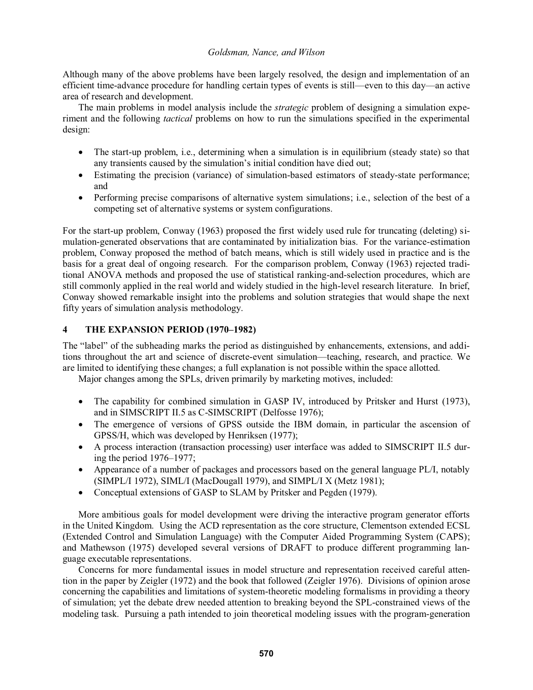Although many of the above problems have been largely resolved, the design and implementation of an efficient time-advance procedure for handling certain types of events is still—even to this day—an active area of research and development.

The main problems in model analysis include the *strategic* problem of designing a simulation experiment and the following *tactical* problems on how to run the simulations specified in the experimental design:

- The start-up problem, i.e., determining when a simulation is in equilibrium (steady state) so that any transients caused by the simulation's initial condition have died out;
- Estimating the precision (variance) of simulation-based estimators of steady-state performance; and
- Performing precise comparisons of alternative system simulations; i.e., selection of the best of a competing set of alternative systems or system configurations.

For the start-up problem, Conway (1963) proposed the first widely used rule for truncating (deleting) simulation-generated observations that are contaminated by initialization bias. For the variance-estimation problem, Conway proposed the method of batch means, which is still widely used in practice and is the basis for a great deal of ongoing research. For the comparison problem, Conway (1963) rejected traditional ANOVA methods and proposed the use of statistical ranking-and-selection procedures, which are still commonly applied in the real world and widely studied in the high-level research literature. In brief, Conway showed remarkable insight into the problems and solution strategies that would shape the next fifty years of simulation analysis methodology.

# **4 THE EXPANSION PERIOD (1970-1982)**

The "label" of the subheading marks the period as distinguished by enhancements, extensions, and additions throughout the art and science of discrete-event simulation-teaching, research, and practice. We are limited to identifying these changes; a full explanation is not possible within the space allotted.

Major changes among the SPLs, driven primarily by marketing motives, included:

- The capability for combined simulation in GASP IV, introduced by Pritsker and Hurst (1973), and in SIMSCRIPT II.5 as C-SIMSCRIPT (Delfosse 1976);
- The emergence of versions of GPSS outside the IBM domain, in particular the ascension of GPSS/H, which was developed by Henriksen (1977);
- A process interaction (transaction processing) user interface was added to SIMSCRIPT II.5 during the period  $1976-1977$ ;
- Appearance of a number of packages and processors based on the general language PL/I, notably (SIMPL/I 1972), SIML/I (MacDougall 1979), and SIMPL/I X (Metz 1981);
- Conceptual extensions of GASP to SLAM by Pritsker and Pegden (1979).

More ambitious goals for model development were driving the interactive program generator efforts in the United Kingdom. Using the ACD representation as the core structure, Clementson extended ECSL (Extended Control and Simulation Language) with the Computer Aided Programming System (CAPS); and Mathewson (1975) developed several versions of DRAFT to produce different programming language executable representations.

Concerns for more fundamental issues in model structure and representation received careful attention in the paper by Zeigler (1972) and the book that followed (Zeigler 1976). Divisions of opinion arose concerning the capabilities and limitations of system-theoretic modeling formalisms in providing a theory of simulation; yet the debate drew needed attention to breaking beyond the SPL-constrained views of the modeling task. Pursuing a path intended to join theoretical modeling issues with the program-generation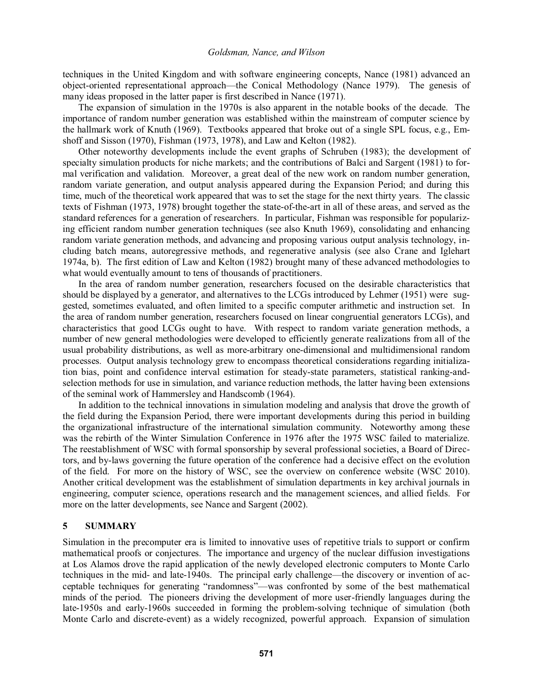techniques in the United Kingdom and with software engineering concepts, Nance (1981) advanced an object-oriented representational approach—the Conical Methodology (Nance 1979). The genesis of many ideas proposed in the latter paper is first described in Nance (1971).

The expansion of simulation in the 1970s is also apparent in the notable books of the decade. The importance of random number generation was established within the mainstream of computer science by the hallmark work of Knuth (1969). Textbooks appeared that broke out of a single SPL focus, e.g., Emshoff and Sisson (1970), Fishman (1973, 1978), and Law and Kelton (1982).

Other noteworthy developments include the event graphs of Schruben (1983); the development of specialty simulation products for niche markets; and the contributions of Balci and Sargent (1981) to formal verification and validation. Moreover, a great deal of the new work on random number generation, random variate generation, and output analysis appeared during the Expansion Period; and during this time, much of the theoretical work appeared that was to set the stage for the next thirty years. The classic texts of Fishman (1973, 1978) brought together the state-of-the-art in all of these areas, and served as the standard references for a generation of researchers. In particular, Fishman was responsible for popularizing efficient random number generation techniques (see also Knuth 1969), consolidating and enhancing random variate generation methods, and advancing and proposing various output analysis technology, including batch means, autoregressive methods, and regenerative analysis (see also Crane and Iglehart 1974a, b). The first edition of Law and Kelton (1982) brought many of these advanced methodologies to what would eventually amount to tens of thousands of practitioners.

In the area of random number generation, researchers focused on the desirable characteristics that should be displayed by a generator, and alternatives to the LCGs introduced by Lehmer (1951) were suggested, sometimes evaluated, and often limited to a specific computer arithmetic and instruction set. In the area of random number generation, researchers focused on linear congruential generators LCGs), and characteristics that good LCGs ought to have. With respect to random variate generation methods, a number of new general methodologies were developed to efficiently generate realizations from all of the usual probability distributions, as well as more-arbitrary one-dimensional and multidimensional random processes. Output analysis technology grew to encompass theoretical considerations regarding initialization bias, point and confidence interval estimation for steady-state parameters, statistical ranking-andselection methods for use in simulation, and variance reduction methods, the latter having been extensions of the seminal work of Hammersley and Handscomb (1964).

In addition to the technical innovations in simulation modeling and analysis that drove the growth of the field during the Expansion Period, there were important developments during this period in building the organizational infrastructure of the international simulation community. Noteworthy among these was the rebirth of the Winter Simulation Conference in 1976 after the 1975 WSC failed to materialize. The reestablishment of WSC with formal sponsorship by several professional societies, a Board of Directors, and by-laws governing the future operation of the conference had a decisive effect on the evolution of the field. For more on the history of WSC, see the overview on conference website (WSC 2010). Another critical development was the establishment of simulation departments in key archival journals in engineering, computer science, operations research and the management sciences, and allied fields. For more on the latter developments, see Nance and Sargent (2002).

#### **5 SUMMARY**

Simulation in the precomputer era is limited to innovative uses of repetitive trials to support or confirm mathematical proofs or conjectures. The importance and urgency of the nuclear diffusion investigations at Los Alamos drove the rapid application of the newly developed electronic computers to Monte Carlo techniques in the mid- and late-1940s. The principal early challenge—the discovery or invention of acceptable techniques for generating "randomness"—was confronted by some of the best mathematical minds of the period. The pioneers driving the development of more user-friendly languages during the late-1950s and early-1960s succeeded in forming the problem-solving technique of simulation (both Monte Carlo and discrete-event) as a widely recognized, powerful approach. Expansion of simulation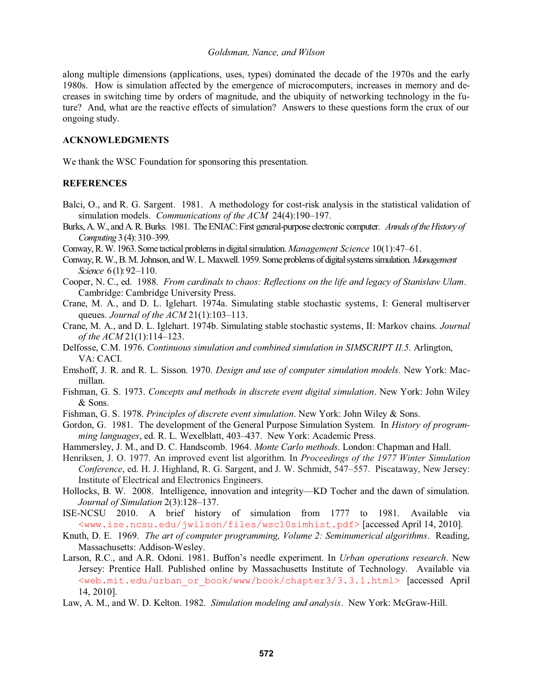along multiple dimensions (applications, uses, types) dominated the decade of the 1970s and the early 1980s. How is simulation affected by the emergence of microcomputers, increases in memory and decreases in switching time by orders of magnitude, and the ubiquity of networking technology in the future? And, what are the reactive effects of simulation? Answers to these questions form the crux of our ongoing study.

# **ACKNOWLEDGMENTS**

We thank the WSC Foundation for sponsoring this presentation.

## **REFERENCES**

- Balci, O., and R. G. Sargent. 1981. A methodology for cost-risk analysis in the statistical validation of simulation models. *Communications of the ACM* 24(4):190-197.
- Burks, A. W., and A. R. Burks. 1981. The ENIAC: First general-purpose electronic computer. *Annals of the History of Computing* 3 (4): 310–399.
- Conway, R. W. 1963. Some tactical problems in digital simulation. *Management Science* 10(1):47–61.
- Conway, R. W., B. M. Johnson, and W. L. Maxwell. 1959. Some problems of digital systems simulation. *Management Science* 6(1): 92-110.
- Cooper, N. C., ed. 1988. *From cardinals to chaos: Reflections on the life and legacy of Stanislaw Ulam*. Cambridge: Cambridge University Press.
- Crane, M. A., and D. L. Iglehart. 1974a. Simulating stable stochastic systems, I: General multiserver queues. *Journal of the ACM* 21(1):103-113.
- Crane, M. A., and D. L. Iglehart. 1974b. Simulating stable stochastic systems, II: Markov chains. *Journal of the ACM* 21(1):114–123.
- Delfosse, C.M. 1976. *Continuous simulation and combined simulation in SIMSCRIPT II.5*. Arlington, VA: CACI.
- Emshoff, J. R. and R. L. Sisson. 1970. *Design and use of computer simulation models.* New York: Macmillan.
- Fishman, G. S. 1973. *Concepts and methods in discrete event digital simulation*. New York: John Wiley & Sons.
- Fishman, G. S. 1978. *Principles of discrete event simulation*. New York: John Wiley & Sons.
- Gordon, G. 1981. The development of the General Purpose Simulation System. In *History of programming languages*, ed. R. L. Wexelblatt, 403-437. New York: Academic Press.
- Hammersley, J. M., and D. C. Handscomb. 1964. *Monte Carlo methods*. London: Chapman and Hall.
- Henriksen, J. O. 1977. An improved event list algorithm. In *Proceedings of the 1977 Winter Simulation Conference*, ed. H. J. Highland, R. G. Sargent, and J. W. Schmidt, 547–557. Piscataway, New Jersey: Institute of Electrical and Electronics Engineers.
- Hollocks, B. W. 2008. Intelligence, innovation and integrity—KD Tocher and the dawn of simulation. *Journal of Simulation* 2(3):128-137.
- ISE-NCSU 2010. A brief history of simulation from 1777 to 1981. Available via <www.ise.ncsu.edu/jwilson/files/wsc10simhist.pdf> [accessed April 14, 2010].
- Knuth, D. E. 1969. *The art of computer programming, Volume 2: Seminumerical algorithms*. Reading, Massachusetts: Addison-Wesley.
- Larson, R.C., and A.R. Odoni. 1981. Buffon's needle experiment. In *Urban operations research*. New Jersey: Prentice Hall. Published online by Massachusetts Institute of Technology. Available via <web.mit.edu/urban\_or\_book/www/book/chapter3/3.3.1.html> [accessed April 14, 2010].
- Law, A. M., and W. D. Kelton. 1982. *Simulation modeling and analysis*. New York: McGraw-Hill.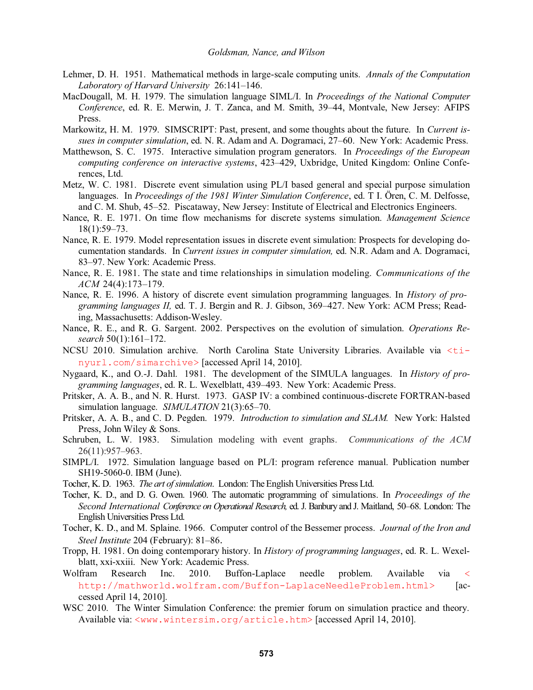- Lehmer, D. H. 1951. Mathematical methods in large-scale computing units. *Annals of the Computation*  Laboratory of Harvard University 26:141-146.
- MacDougall, M. H. 1979. The simulation language SIML/I. In *Proceedings of the National Computer Conference*, ed. R. E. Merwin, J. T. Zanca, and M. Smith, 39–44, Montvale, New Jersey: AFIPS Press.
- Markowitz, H. M. 1979. SIMSCRIPT: Past, present, and some thoughts about the future. In *Current issues in computer simulation*, ed. N. R. Adam and A. Dogramaci, 27–60. New York: Academic Press.
- Matthewson, S. C. 1975. Interactive simulation program generators. In *Proceedings of the European computing conference on interactive systems*, 423–429, Uxbridge, United Kingdom: Online Conferences, Ltd.
- Metz, W. C. 1981. Discrete event simulation using PL/I based general and special purpose simulation languages. In *Proceedings of the 1981 Winter Simulation Conference*, ed. T I. Ören, C. M. Delfosse, and C. M. Shub, 45–52. Piscataway, New Jersey: Institute of Electrical and Electronics Engineers.
- Nance, R. E. 1971. On time flow mechanisms for discrete systems simulation. *Management Science*   $18(1):59-73.$
- Nance, R. E. 1979. Model representation issues in discrete event simulation: Prospects for developing documentation standards. In *Current issues in computer simulation,* ed. N.R. Adam and A. Dogramaci, 83–97. New York: Academic Press.
- Nance, R. E. 1981. The state and time relationships in simulation modeling. *Communications of the ACM* 24(4):173-179.
- Nance, R. E. 1996. A history of discrete event simulation programming languages. In *History of programming languages II, ed. T. J. Bergin and R. J. Gibson, 369–427. New York: ACM Press; Read*ing, Massachusetts: Addison-Wesley.
- Nance, R. E., and R. G. Sargent. 2002. Perspectives on the evolution of simulation. *Operations Research* 50(1):161–172.
- NCSU 2010. Simulation archive. North Carolina State University Libraries. Available via <tinyurl.com/simarchive> [accessed April 14, 2010].
- Nygaard, K., and O.-J. Dahl. 1981. The development of the SIMULA languages. In *History of pro*gramming languages, ed. R. L. Wexelblatt, 439–493. New York: Academic Press.
- Pritsker, A. A. B., and N. R. Hurst. 1973. GASP IV: a combined continuous-discrete FORTRAN-based simulation language. *SIMULATION* 21(3):65–70.
- Pritsker, A. A. B., and C. D. Pegden. 1979. *Introduction to simulation and SLAM.* New York: Halsted Press, John Wiley & Sons.
- Schruben, L. W. 1983. Simulation modeling with event graphs. *Communications of the ACM* 26(11):957-963.
- SIMPL/I. 1972. Simulation language based on PL/I: program reference manual. Publication number SH19-5060-0. IBM (June).
- Tocher, K. D. 1963. *The art of simulation*. London: The English Universities Press Ltd.
- Tocher, K. D., and D. G. Owen. 1960. The automatic programming of simulations. In *Proceedings of the Second International Conference on Operational Research*, ed. J. Banbury and J. Maitland, 50–68. London: The English Universities Press Ltd.
- Tocher, K. D., and M. Splaine. 1966. Computer control of the Bessemer process. *Journal of the Iron and Steel Institute* 204 (February): 81–86.
- Tropp, H. 1981. On doing contemporary history. In *History of programming languages*, ed. R. L. Wexelblatt, xxi-xxiii. New York: Academic Press.
- Wolfram Research Inc. 2010. Buffon-Laplace needle problem. Available via < http://mathworld.wolfram.com/Buffon-LaplaceNeedleProblem.html> [accessed April 14, 2010].
- WSC 2010. The Winter Simulation Conference: the premier forum on simulation practice and theory. Available via: <www.wintersim.org/article.htm> [accessed April 14, 2010].